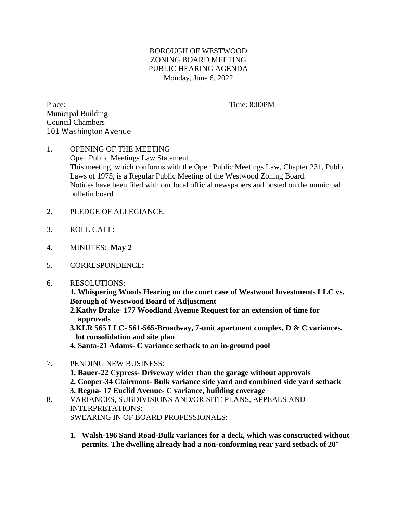## BOROUGH OF WESTWOOD ZONING BOARD MEETING PUBLIC HEARING AGENDA Monday, June 6, 2022

Place: Time: 8:00PM Municipal Building Council Chambers 101 Washington Avenue

## 1. OPENING OF THE MEETING Open Public Meetings Law Statement This meeting, which conforms with the Open Public Meetings Law, Chapter 231, Public Laws of 1975, is a Regular Public Meeting of the Westwood Zoning Board. Notices have been filed with our local official newspapers and posted on the municipal bulletin board

- 2. PLEDGE OF ALLEGIANCE:
- 3. ROLL CALL:
- 4. MINUTES: **May 2**
- 5. CORRESPONDENCE**:**
- 6. RESOLUTIONS:

**1. Whispering Woods Hearing on the court case of Westwood Investments LLC vs. Borough of Westwood Board of Adjustment**

 **2.Kathy Drake- 177 Woodland Avenue Request for an extension of time for approvals**

 **3.KLR 565 LLC- 561-565-Broadway, 7-unit apartment complex, D & C variances, lot consolidation and site plan**

 **4. Santa-21 Adams- C variance setback to an in-ground pool** 

- 7. PENDING NEW BUSINESS:
	- **1. Bauer-22 Cypress- Driveway wider than the garage without approvals**

 **2. Cooper-34 Clairmont- Bulk variance side yard and combined side yard setback 3. Regna- 17 Euclid Avenue- C variance, building coverage**

- 
- 8. VARIANCES, SUBDIVISIONS AND/OR SITE PLANS, APPEALS AND INTERPRETATIONS: SWEARING IN OF BOARD PROFESSIONALS:
	- **1. Walsh-196 Sand Road-Bulk variances for a deck, which was constructed without permits. The dwelling already had a non-conforming rear yard setback of 20'**